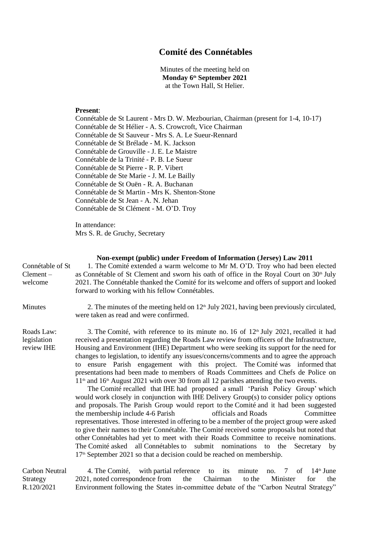## **Comité des Connétables**

Minutes of the meeting held on **Monday 6 th September 2021** at the Town Hall, St Helier.

## **Present**:

Connétable de St Laurent - Mrs D. W. Mezbourian, Chairman (present for 1-4, 10-17) Connétable de St Hélier - A. S. Crowcroft, Vice Chairman Connétable de St Sauveur - Mrs S. A. Le Sueur-Rennard Connétable de St Brélade - M. K. Jackson Connétable de Grouville - J. E. Le Maistre Connétable de la Trinité - P. B. Le Sueur Connétable de St Pierre - R. P. Vibert Connétable de Ste Marie - J. M. Le Bailly Connétable de St Ouën - R. A. Buchanan Connétable de St Martin - Mrs K. Shenton-Stone Connétable de St Jean - A. N. Jehan Connétable de St Clément - M. O'D. Troy

In attendance: Mrs S. R. de Gruchy, Secretary

## **Non-exempt (public) under Freedom of Information (Jersey) Law 2011** Connétable of St Clement – welcome 1. The Comité extended a warm welcome to Mr M. O'D. Troy who had been elected as Connétable of St Clement and sworn his oath of office in the Royal Court on 30<sup>th</sup> July 2021. The Connétable thanked the Comité for its welcome and offers of support and looked forward to working with his fellow Connétables. Minutes 2. The minutes of the meeting held on  $12<sup>th</sup>$  July 2021, having been previously circulated, were taken as read and were confirmed. Roads Law: legislation review IHE 3. The Comité, with reference to its minute no. 16 of  $12<sup>th</sup>$  July 2021, recalled it had received a presentation regarding the Roads Law review from officers of the Infrastructure, Housing and Environment (IHE) Department who were seeking its support for the need for changes to legislation, to identify any issues/concerns/comments and to agree the approach to ensure Parish engagement with this project. The Comité was informed that presentations had been made to members of Roads Committees and Chefs de Police on 11<sup>th</sup> and 16<sup>th</sup> August 2021 with over 30 from all 12 parishes attending the two events. The Comité recalled that IHE had proposed a small 'Parish Policy Group' which would work closely in conjunction with IHE Delivery Group(s) to consider policy options and proposals. The Parish Group would report to the Comité and it had been suggested the membership include 4-6 Parish officials and Roads Committee representatives. Those interested in offering to be a member of the project group were asked to give their names to their Connétable. The Comité received some proposals but noted that other Connétables had yet to meet with their Roads Committee to receive nominations. The Comité asked all Connétables to submit nominations to the Secretary by 17<sup>th</sup> September 2021 so that a decision could be reached on membership.

Carbon Neutral Strategy R.120/2021 4. The Comité, with partial reference to its minute no. 7 of  $14<sup>th</sup>$  June 2021, noted correspondence from the Chairman to the Minister for the Environment following the States in-committee debate of the "Carbon Neutral Strategy"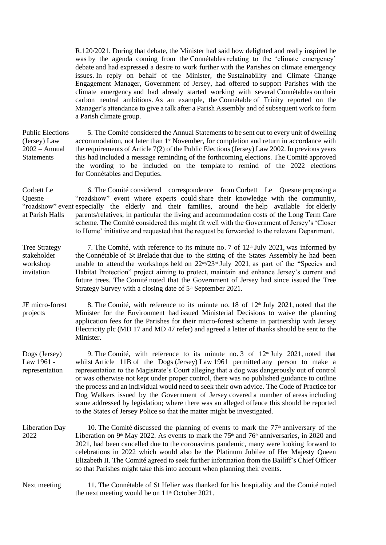R.120/2021. During that debate, the Minister had said how delighted and really inspired he was by the agenda coming from the Connétables relating to the 'climate emergency' debate and had expressed a desire to work further with the Parishes on climate emergency issues. In reply on behalf of the Minister, the Sustainability and Climate Change Engagement Manager, Government of Jersey, had offered to support Parishes with the climate emergency and had already started working with several Connétables on their carbon neutral ambitions. As an example, the Connétable of Trinity reported on the Manager's attendance to give a talk after a Parish Assembly and of subsequent work to form a Parish climate group.

Public Elections (Jersey) Law 2002 – Annual **Statements** 5. The Comité considered the Annual Statements to be sent out to every unit of dwelling accommodation, not later than 1<sup>st</sup> November, for completion and return in accordance with the requirements of Article 7(2) of the Public Elections (Jersey) Law 2002. In previous years this had included a message reminding of the forthcoming elections. The Comité approved the wording to be included on the template to remind of the 2022 elections for Connétables and Deputies.

Corbett Le Quesne – "roadshow" event especially the elderly and their families, around the help available for elderly at Parish Halls 6. The Comité considered correspondence from Corbett Le Quesne proposing a "roadshow" event where experts could share their knowledge with the community, parents/relatives, in particular the living and accommodation costs of the Long Term Care scheme. The Comité considered this might fit well with the Government of Jersey's 'Closer to Home' initiative and requested that the request be forwarded to the relevant Department.

Tree Strategy stakeholder workshop invitation 7. The Comité, with reference to its minute no. 7 of  $12<sup>th</sup>$  July 2021, was informed by the Connétable of St Brelade that due to the sitting of the States Assembly he had been unable to attend the workshops held on  $22^{\text{nd}}/23^{\text{rd}}$  July 2021, as part of the "Species and Habitat Protection" project aiming to protect, maintain and enhance Jersey's current and future trees. The Comité noted that the Government of Jersey had since issued the Tree Strategy Survey with a closing date of 5<sup>th</sup> September 2021.

JE micro-forest projects 8. The Comité, with reference to its minute no. 18 of  $12<sup>th</sup>$  July 2021, noted that the Minister for the Environment had issued Ministerial Decisions to waive the planning application fees for the Parishes for their micro-forest scheme in partnership with Jersey Electricity plc (MD 17 and MD 47 refer) and agreed a letter of thanks should be sent to the Minister.

Dogs (Jersey) Law 1961 representation 9. The Comité, with reference to its minute no. 3 of  $12<sup>th</sup>$  July 2021, noted that whilst Article 11B of the Dogs (Jersey) Law 1961 permitted any person to make a representation to the Magistrate's Court alleging that a dog was dangerously out of control or was otherwise not kept under proper control, there was no published guidance to outline the process and an individual would need to seek their own advice. The Code of Practice for Dog Walkers issued by the Government of Jersey covered a number of areas including some addressed by legislation; where there was an alleged offence this should be reported to the States of Jersey Police so that the matter might be investigated.

Liberation Day 2022 10. The Comité discussed the planning of events to mark the  $77<sup>th</sup>$  anniversary of the Liberation on 9<sup>th</sup> May 2022. As events to mark the 75<sup>th</sup> and 76<sup>th</sup> anniversaries, in 2020 and 2021, had been cancelled due to the coronavirus pandemic, many were looking forward to celebrations in 2022 which would also be the Platinum Jubilee of Her Majesty Queen Elizabeth II. The Comité agreed to seek further information from the Bailiff's Chief Officer so that Parishes might take this into account when planning their events.

Next meeting 11. The Connétable of St Helier was thanked for his hospitality and the Comité noted the next meeting would be on  $11<sup>th</sup>$  October 2021.